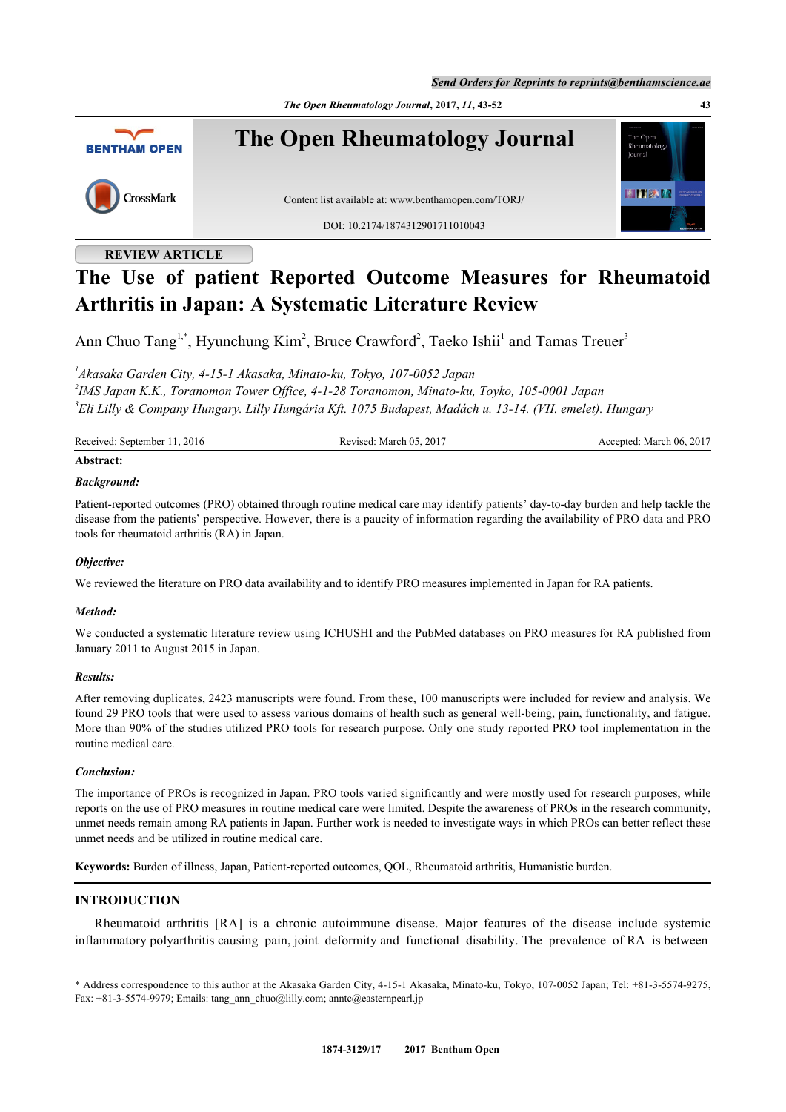*Send Orders for Reprints to reprints@benthamscience.ae*

*The Open Rheumatology Journal***, 2017,** *11***, 43-52 43**



### **REVIEW ARTICLE**

# **The Use of patient Reported Outcome Measures for Rheumatoid Arthritis in Japan: A Systematic Literature Review**

Ann Chuo Tang<sup>[1](#page-0-0),[\\*](#page-0-1)</sup>, Hyunchung Kim<sup>[2](#page-0-2)</sup>, Bruce Crawford<sup>2</sup>, Taeko Ishii<sup>1</sup> and Tamas Treuer<sup>[3](#page-0-3)</sup>

<span id="page-0-2"></span><span id="page-0-0"></span>*1 Akasaka Garden City, 4-15-1 Akasaka, Minato-ku, Tokyo, 107-0052 Japan 2 IMS Japan K.K., Toranomon Tower Office, 4-1-28 Toranomon, Minato-ku, Toyko, 105-0001 Japan 3 Eli Lilly & Company Hungary. Lilly Hungária Kft. 1075 Budapest, Madách u. 13-14. (VII. emelet). Hungary*

<span id="page-0-3"></span>Received: September 11, 2016 Revised: March 05, 2017 Accepted: March 06, 2017

## **Abstract:**

### *Background:*

Patient-reported outcomes (PRO) obtained through routine medical care may identify patients' day-to-day burden and help tackle the disease from the patients' perspective. However, there is a paucity of information regarding the availability of PRO data and PRO tools for rheumatoid arthritis (RA) in Japan.

### *Objective:*

We reviewed the literature on PRO data availability and to identify PRO measures implemented in Japan for RA patients.

### *Method:*

We conducted a systematic literature review using ICHUSHI and the PubMed databases on PRO measures for RA published from January 2011 to August 2015 in Japan.

### *Results:*

After removing duplicates, 2423 manuscripts were found. From these, 100 manuscripts were included for review and analysis. We found 29 PRO tools that were used to assess various domains of health such as general well-being, pain, functionality, and fatigue. More than 90% of the studies utilized PRO tools for research purpose. Only one study reported PRO tool implementation in the routine medical care.

### *Conclusion:*

The importance of PROs is recognized in Japan. PRO tools varied significantly and were mostly used for research purposes, while reports on the use of PRO measures in routine medical care were limited. Despite the awareness of PROs in the research community, unmet needs remain among RA patients in Japan. Further work is needed to investigate ways in which PROs can better reflect these unmet needs and be utilized in routine medical care.

**Keywords:** Burden of illness, Japan, Patient-reported outcomes, QOL, Rheumatoid arthritis, Humanistic burden.

### **INTRODUCTION**

Rheumatoid arthritis [RA] is a chronic autoimmune disease. Major features of the disease include systemic inflammatory polyarthritis causing pain, joint deformity and functional disability. The prevalence of RA is between

<span id="page-0-1"></span><sup>\*</sup> Address correspondence to this author at the Akasaka Garden City, 4-15-1 Akasaka, Minato-ku, Tokyo, 107-0052 Japan; Tel: +81-3-5574-9275, Fax: +81-3-5574-9979; Emails: [tang\\_ann\\_chuo@lilly.com](mailto:tang_ann_chuo@lilly.com); [anntc@easternpearl.jp](mailto:anntc@easternpearl.jp)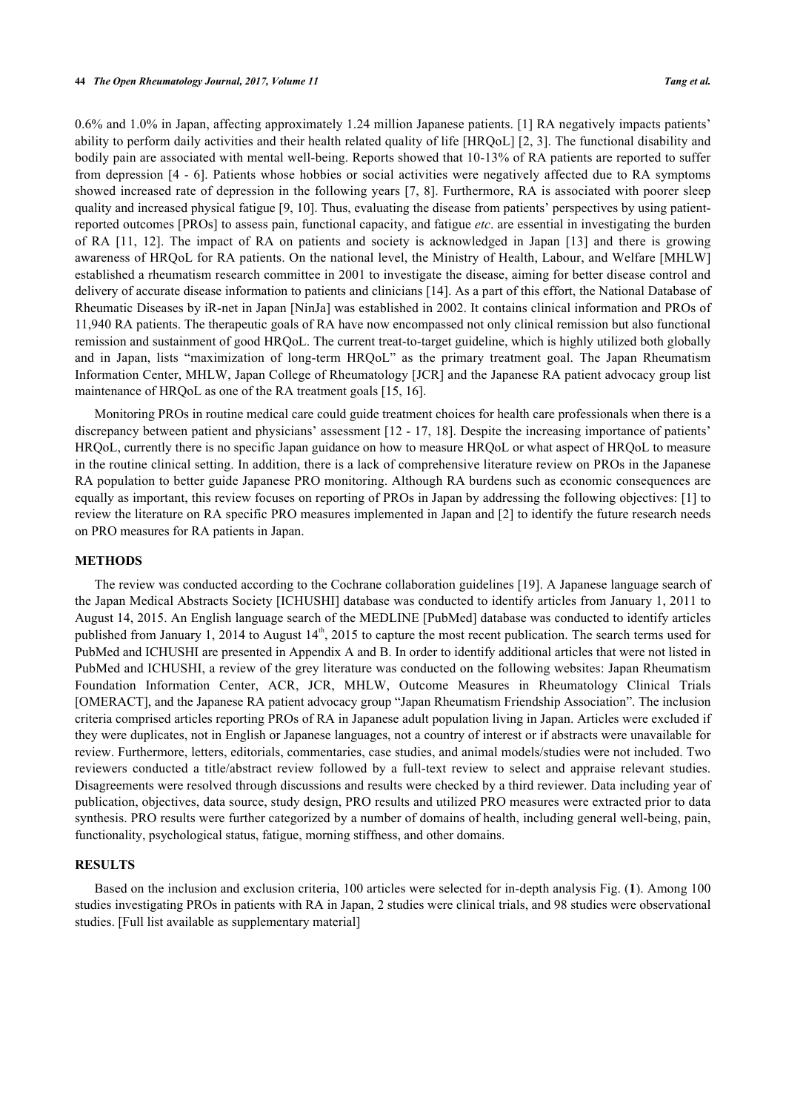0.6% and 1.0% in Japan, affecting approximately 1.24 million Japanese patients. [\[1](#page-7-0)] RA negatively impacts patients' ability to perform daily activities and their health related quality of life [HRQoL] [\[2](#page-7-1), [3\]](#page-7-2). The functional disability and bodily pain are associated with mental well-being. Reports showed that 10-13% of RA patients are reported to suffer from depression [[4](#page-7-3) - [6\]](#page-7-4). Patients whose hobbies or social activities were negatively affected due to RA symptoms showed increased rate of depression in the following years [[7](#page-8-0), [8](#page-8-1)]. Furthermore, RA is associated with poorer sleep quality and increased physical fatigue [[9,](#page-8-2) [10\]](#page-8-3). Thus, evaluating the disease from patients' perspectives by using patientreported outcomes [PROs] to assess pain, functional capacity, and fatigue *etc*. are essential in investigating the burden of RA [\[11](#page-8-4), [12](#page-8-5)]. The impact of RA on patients and society is acknowledged in Japan[[13](#page-8-6)] and there is growing awareness of HRQoL for RA patients. On the national level, the Ministry of Health, Labour, and Welfare [MHLW] established a rheumatism research committee in 2001 to investigate the disease, aiming for better disease control and delivery of accurate disease information to patients and clinicians [\[14](#page-8-7)]. As a part of this effort, the National Database of Rheumatic Diseases by iR-net in Japan [NinJa] was established in 2002. It contains clinical information and PROs of 11,940 RA patients. The therapeutic goals of RA have now encompassed not only clinical remission but also functional remission and sustainment of good HRQoL. The current treat-to-target guideline, which is highly utilized both globally and in Japan, lists "maximization of long-term HRQoL" as the primary treatment goal. The Japan Rheumatism Information Center, MHLW, Japan College of Rheumatology [JCR] and the Japanese RA patient advocacy group list maintenance of HRQoL as one of the RA treatment goals [\[15](#page-8-8), [16](#page-8-9)].

Monitoring PROs in routine medical care could guide treatment choices for health care professionals when there is a discrepancy between patient and physicians' assessment  $[12 - 17, 18]$  $[12 - 17, 18]$  $[12 - 17, 18]$  $[12 - 17, 18]$  $[12 - 17, 18]$  $[12 - 17, 18]$ . Despite the increasing importance of patients' HRQoL, currently there is no specific Japan guidance on how to measure HRQoL or what aspect of HRQoL to measure in the routine clinical setting. In addition, there is a lack of comprehensive literature review on PROs in the Japanese RA population to better guide Japanese PRO monitoring. Although RA burdens such as economic consequences are equally as important, this review focuses on reporting of PROs in Japan by addressing the following objectives: [[1\]](#page-7-0) to review the literature on RA specific PRO measures implemented in Japan and [[2\]](#page-7-1) to identify the future research needs on PRO measures for RA patients in Japan.

### **METHODS**

The review was conducted according to the Cochrane collaboration guidelines [[19\]](#page-8-12). A Japanese language search of the Japan Medical Abstracts Society [ICHUSHI] database was conducted to identify articles from January 1, 2011 to August 14, 2015. An English language search of the MEDLINE [PubMed] database was conducted to identify articles published from January 1, 2014 to August  $14<sup>th</sup>$ , 2015 to capture the most recent publication. The search terms used for PubMed and ICHUSHI are presented in Appendix A and B. In order to identify additional articles that were not listed in PubMed and ICHUSHI, a review of the grey literature was conducted on the following websites: Japan Rheumatism Foundation Information Center, ACR, JCR, MHLW, Outcome Measures in Rheumatology Clinical Trials [OMERACT], and the Japanese RA patient advocacy group "Japan Rheumatism Friendship Association". The inclusion criteria comprised articles reporting PROs of RA in Japanese adult population living in Japan. Articles were excluded if they were duplicates, not in English or Japanese languages, not a country of interest or if abstracts were unavailable for review. Furthermore, letters, editorials, commentaries, case studies, and animal models/studies were not included. Two reviewers conducted a title/abstract review followed by a full-text review to select and appraise relevant studies. Disagreements were resolved through discussions and results were checked by a third reviewer. Data including year of publication, objectives, data source, study design, PRO results and utilized PRO measures were extracted prior to data synthesis. PRO results were further categorized by a number of domains of health, including general well-being, pain, functionality, psychological status, fatigue, morning stiffness, and other domains.

### **RESULTS**

<span id="page-1-0"></span>Based on the inclusion and exclusion criteria, 100 articles were selected for in-depth analysis Fig. (**[1](#page-1-0)**). Among 100 studies investigating PROs in patients with RA in Japan, 2 studies were clinical trials, and 98 studies were observational studies. [Full list available as supplementary material]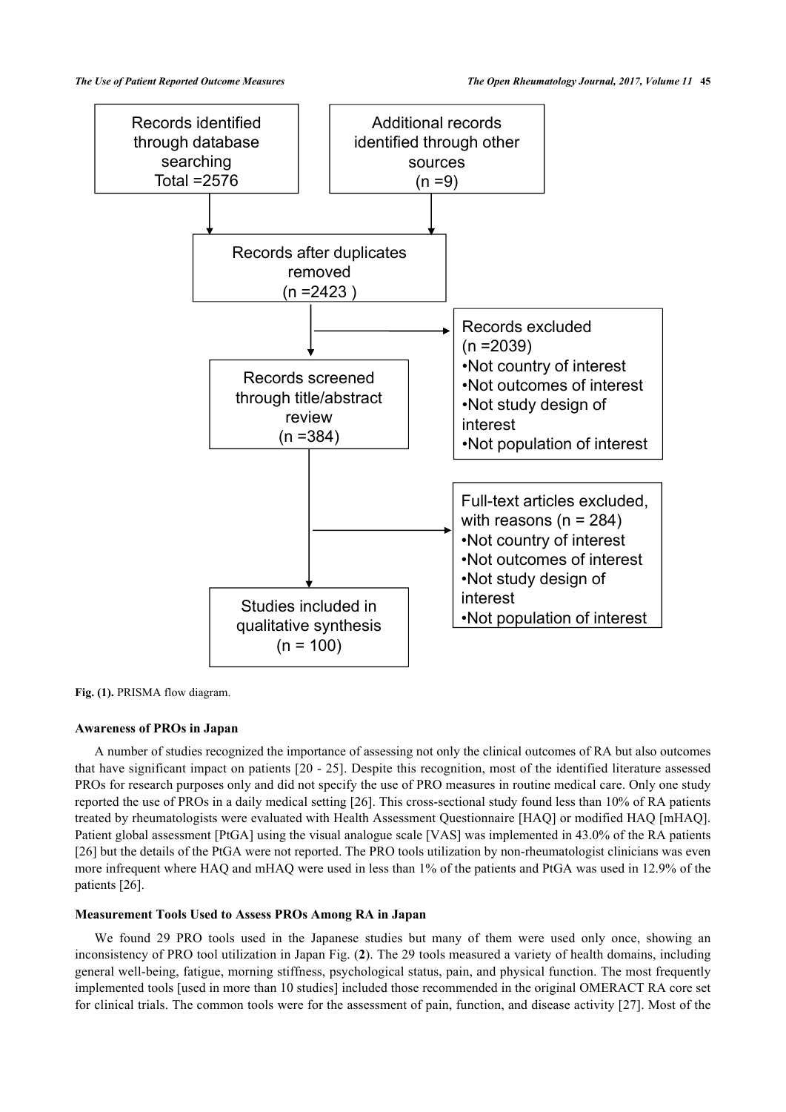

Fig. (1). PRISMA flow diagram.

### **Awareness of PROs in Japan**

A number of studies recognized the importance of assessing not only the clinical outcomes of RA but also outcomes that have significant impact on patients [[20](#page-8-13) - [25](#page-8-14)]. Despite this recognition, most of the identified literature assessed PROs for research purposes only and did not specify the use of PRO measures in routine medical care. Only one study reported the use of PROs in a daily medical setting [[26\]](#page-8-15). This cross-sectional study found less than 10% of RA patients treated by rheumatologists were evaluated with Health Assessment Questionnaire [HAQ] or modified HAQ [mHAQ]. Patient global assessment [PtGA] using the visual analogue scale [VAS] was implemented in 43.0% of the RA patients [\[26](#page-8-15)] but the details of the PtGA were not reported. The PRO tools utilization by non-rheumatologist clinicians was even more infrequent where HAQ and mHAQ were used in less than 1% of the patients and PtGA was used in 12.9% of the patients [[26\]](#page-8-15).

### **Measurement Tools Used to Assess PROs Among RA in Japan**

We found 29 PRO tools used in the Japanese studies but many of them were used only once, showing an inconsistency of PRO tool utilization in Japan Fig. (**[2](#page-3-0)**). The 29 tools measured a variety of health domains, including general well-being, fatigue, morning stiffness, psychological status, pain, and physical function. The most frequently implemented tools [used in more than 10 studies] included those recommended in the original OMERACT RA core set for clinical trials. The common tools were for the assessment of pain, function, and disease activity [[27](#page-8-16)]. Most of the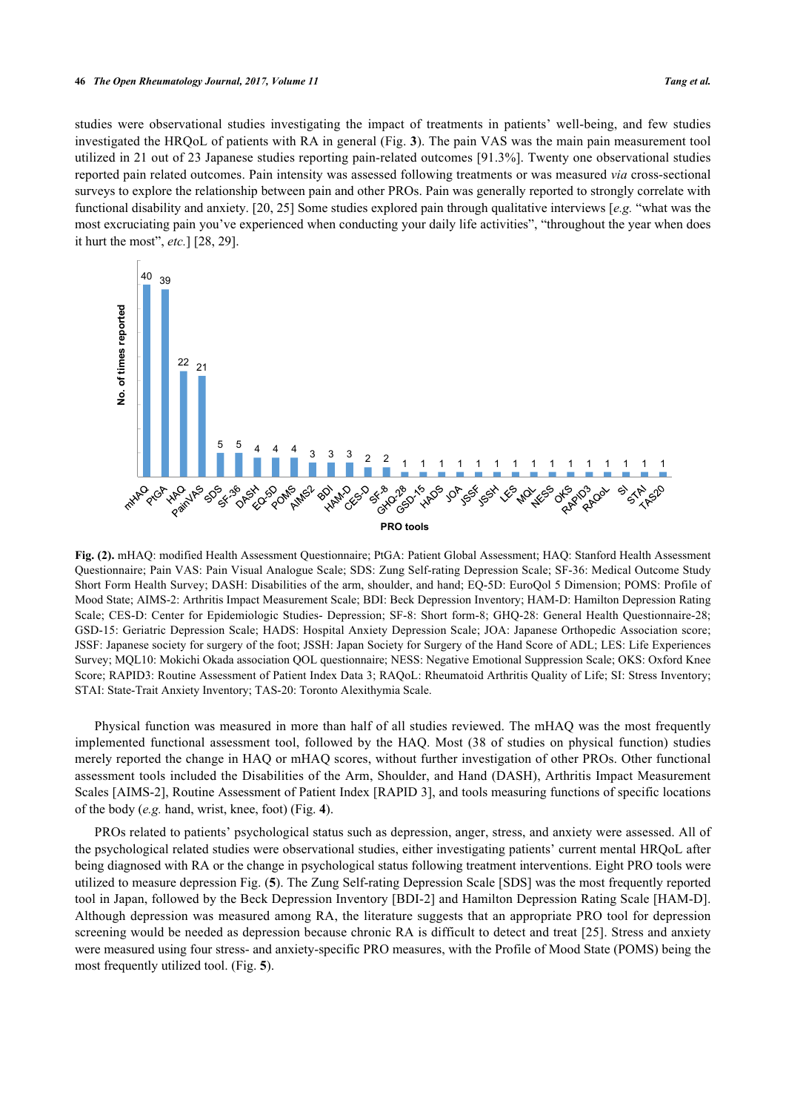studies were observational studies investigating the impact of treatments in patients' well-being, and few studies investigated the HRQoL of patients with RA in general (Fig. **[3](#page-3-1)**). The pain VAS was the main pain measurement tool utilized in 21 out of 23 Japanese studies reporting pain-related outcomes [91.3%]. Twenty one observational studies reported pain related outcomes. Pain intensity was assessed following treatments or was measured *via* cross-sectional surveys to explore the relationship between pain and other PROs. Pain was generally reported to strongly correlate with functional disability and anxiety. [[20,](#page-8-13) [25\]](#page-8-14) Some studies explored pain through qualitative interviews [*e.g.* "what was the most excruciating pain you've experienced when conducting your daily life activities", "throughout the year when does it hurt the most", *etc.*] [\[28](#page-8-17), [29](#page-8-18)].

<span id="page-3-0"></span>

**Fig. (2).** mHAQ: modified Health Assessment Questionnaire; PtGA: Patient Global Assessment; HAQ: Stanford Health Assessment Questionnaire; Pain VAS: Pain Visual Analogue Scale; SDS: Zung Self-rating Depression Scale; SF-36: Medical Outcome Study Short Form Health Survey; DASH: Disabilities of the arm, shoulder, and hand; EQ-5D: EuroQol 5 Dimension; POMS: Profile of Mood State; AIMS-2: Arthritis Impact Measurement Scale; BDI: Beck Depression Inventory; HAM-D: Hamilton Depression Rating Scale; CES-D: Center for Epidemiologic Studies- Depression; SF-8: Short form-8; GHQ-28: General Health Questionnaire-28; GSD-15: Geriatric Depression Scale; HADS: Hospital Anxiety Depression Scale; JOA: Japanese Orthopedic Association score; JSSF: Japanese society for surgery of the foot; JSSH: Japan Society for Surgery of the Hand Score of ADL; LES: Life Experiences Survey; MQL10: Mokichi Okada association QOL questionnaire; NESS: Negative Emotional Suppression Scale; OKS: Oxford Knee Score; RAPID3: Routine Assessment of Patient Index Data 3; RAQoL: Rheumatoid Arthritis Quality of Life; SI: Stress Inventory; STAI: State-Trait Anxiety Inventory; TAS-20: Toronto Alexithymia Scale.

Physical function was measured in more than half of all studies reviewed. The mHAQ was the most frequently implemented functional assessment tool, followed by the HAQ. Most (38 of studies on physical function) studies merely reported the change in HAQ or mHAQ scores, without further investigation of other PROs. Other functional assessment tools included the Disabilities of the Arm, Shoulder, and Hand (DASH), Arthritis Impact Measurement Scales [AIMS-[2](#page-7-1)], Routine Assessment of Patient Index [RAPID [3](#page-7-2)], and tools measuring functions of specific locations of the body (*e.g.* hand, wrist, knee, foot) (Fig. **[4](#page-4-0)**).

<span id="page-3-1"></span>PROs related to patients' psychological status such as depression, anger, stress, and anxiety were assessed. All of the psychological related studies were observational studies, either investigating patients' current mental HRQoL after being diagnosed with RA or the change in psychological status following treatment interventions. Eight PRO tools were utilized to measure depression Fig. (**[5](#page-5-0)**). The Zung Self-rating Depression Scale [SDS] was the most frequently reported tool in Japan, followed by the Beck Depression Inventory [BDI[-2](#page-7-1)] and Hamilton Depression Rating Scale [HAM-D]. Although depression was measured among RA, the literature suggests that an appropriate PRO tool for depression screening would be needed as depression because chronic RA is difficult to detect and treat [[25](#page-8-14)]. Stress and anxiety were measured using four stress- and anxiety-specific PRO measures, with the Profile of Mood State (POMS) being the most frequently utilized tool. (Fig. **[5](#page-5-0)**).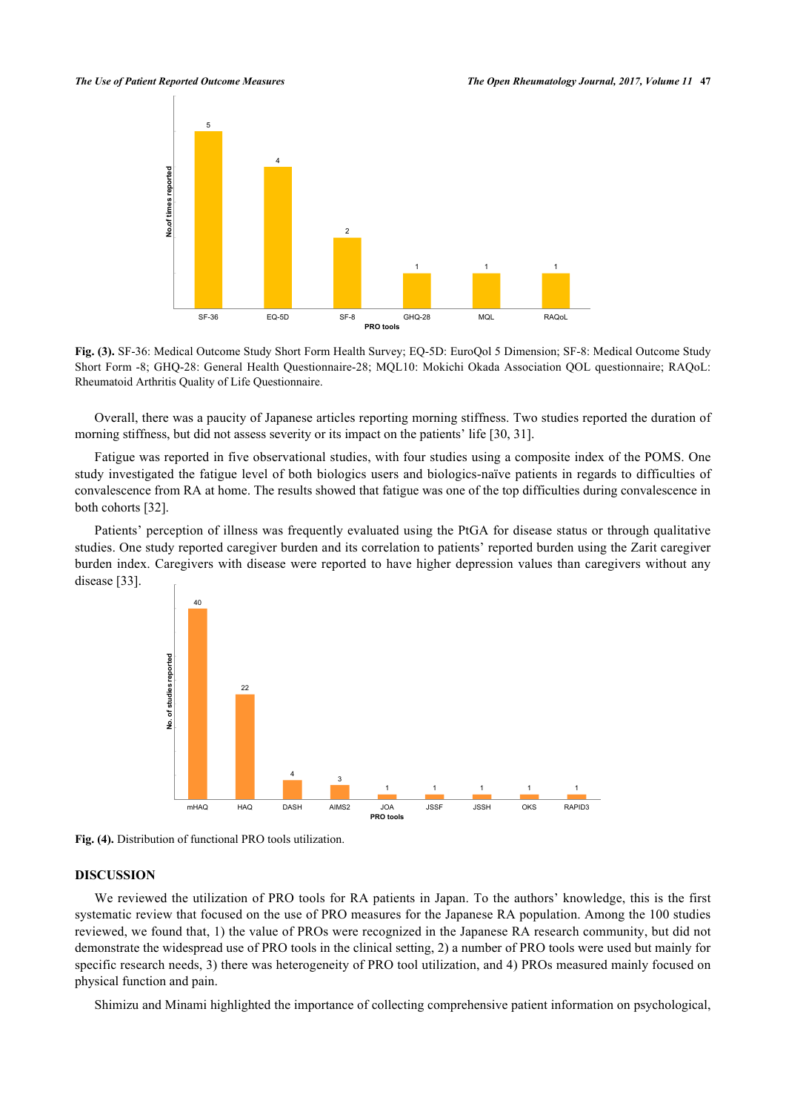

**Fig. (3).** SF-36: Medical Outcome Study Short Form Health Survey; EQ-5D: EuroQol 5 Dimension; SF-8: Medical Outcome Study Short Form -8; GHQ-28: General Health Questionnaire-28; MQL10: Mokichi Okada Association QOL questionnaire; RAQoL: Rheumatoid Arthritis Quality of Life Questionnaire.

Overall, there was a paucity of Japanese articles reporting morning stiffness. Two studies reported the duration of morning stiffness, but did not assess severity or its impact on the patients' life [\[30](#page-8-19), [31](#page-9-0)].

Fatigue was reported in five observational studies, with four studies using a composite index of the POMS. One study investigated the fatigue level of both biologics users and biologics-naïve patients in regards to difficulties of convalescence from RA at home. The results showed that fatigue was one of the top difficulties during convalescence in both cohorts [\[32](#page-9-1)].

<span id="page-4-0"></span>Patients' perception of illness was frequently evaluated using the PtGA for disease status or through qualitative studies. One study reported caregiver burden and its correlation to patients' reported burden using the Zarit caregiver burden index. Caregivers with disease were reported to have higher depression values than caregivers without any disease [\[33](#page-9-2)].



**Fig. (4).** Distribution of functional PRO tools utilization.

### **DISCUSSION**

We reviewed the utilization of PRO tools for RA patients in Japan. To the authors' knowledge, this is the first systematic review that focused on the use of PRO measures for the Japanese RA population. Among the 100 studies reviewed, we found that, 1) the value of PROs were recognized in the Japanese RA research community, but did not demonstrate the widespread use of PRO tools in the clinical setting, 2) a number of PRO tools were used but mainly for specific research needs, 3) there was heterogeneity of PRO tool utilization, and 4) PROs measured mainly focused on physical function and pain.

Shimizu and Minami highlighted the importance of collecting comprehensive patient information on psychological,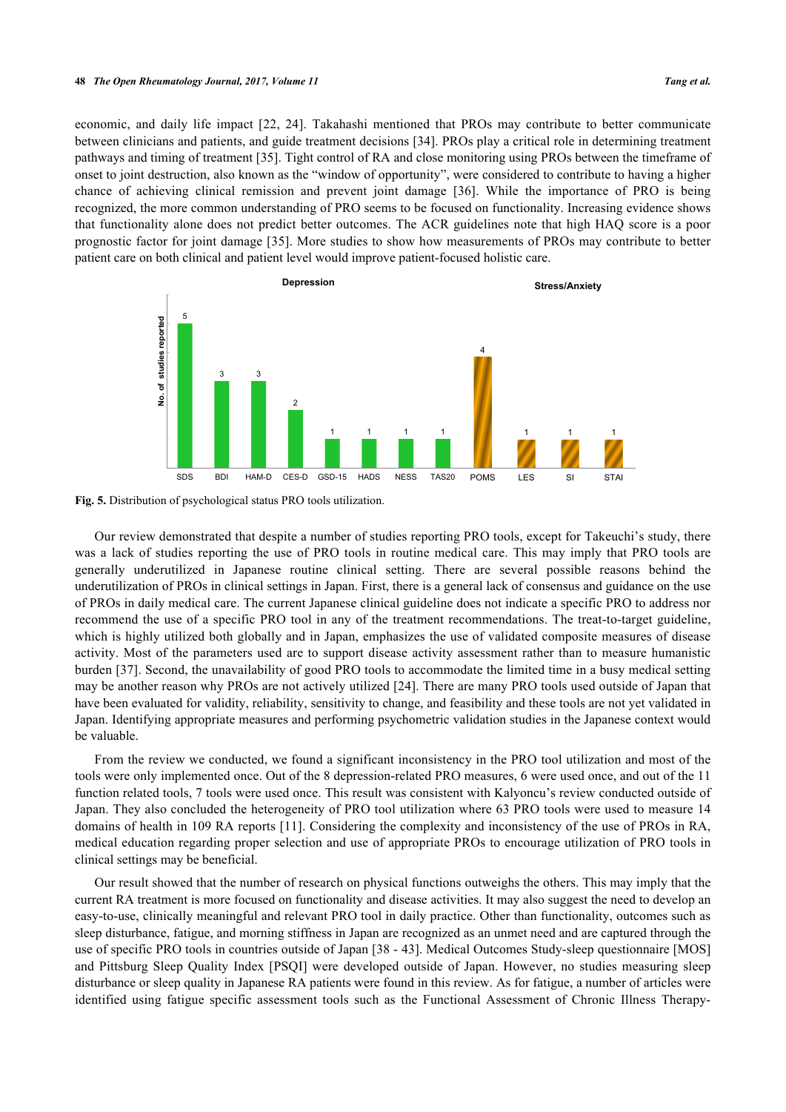economic, and daily life impact [\[22,](#page-8-20) [24\]](#page-8-21). Takahashi mentioned that PROs may contribute to better communicate between clinicians and patients, and guide treatment decisions [\[34](#page-9-3)]. PROs play a critical role in determining treatment pathways and timing of treatment [\[35](#page-9-4)]. Tight control of RA and close monitoring using PROs between the timeframe of onset to joint destruction, also known as the "window of opportunity", were considered to contribute to having a higher chance of achieving clinical remission and prevent joint damage[[36](#page-9-5)]. While the importance of PRO is being recognized, the more common understanding of PRO seems to be focused on functionality. Increasing evidence shows that functionality alone does not predict better outcomes. The ACR guidelines note that high HAQ score is a poor prognostic factor for joint damage [[35\]](#page-9-4). More studies to show how measurements of PROs may contribute to better patient care on both clinical and patient level would improve patient-focused holistic care.

<span id="page-5-0"></span>



Our review demonstrated that despite a number of studies reporting PRO tools, except for Takeuchi's study, there was a lack of studies reporting the use of PRO tools in routine medical care. This may imply that PRO tools are generally underutilized in Japanese routine clinical setting. There are several possible reasons behind the underutilization of PROs in clinical settings in Japan. First, there is a general lack of consensus and guidance on the use of PROs in daily medical care. The current Japanese clinical guideline does not indicate a specific PRO to address nor recommend the use of a specific PRO tool in any of the treatment recommendations. The treat-to-target guideline, which is highly utilized both globally and in Japan, emphasizes the use of validated composite measures of disease activity. Most of the parameters used are to support disease activity assessment rather than to measure humanistic burden [\[37](#page-9-6)]. Second, the unavailability of good PRO tools to accommodate the limited time in a busy medical setting may be another reason why PROs are not actively utilized [[24\]](#page-8-21). There are many PRO tools used outside of Japan that have been evaluated for validity, reliability, sensitivity to change, and feasibility and these tools are not yet validated in Japan. Identifying appropriate measures and performing psychometric validation studies in the Japanese context would be valuable.

From the review we conducted, we found a significant inconsistency in the PRO tool utilization and most of the tools were only implemented once. Out of the 8 depression-related PRO measures, 6 were used once, and out of the 11 function related tools, 7 tools were used once. This result was consistent with Kalyoncu's review conducted outside of Japan. They also concluded the heterogeneity of PRO tool utilization where 63 PRO tools were used to measure 14 domains of health in 109 RA reports [\[11\]](#page-8-4). Considering the complexity and inconsistency of the use of PROs in RA, medical education regarding proper selection and use of appropriate PROs to encourage utilization of PRO tools in clinical settings may be beneficial.

Our result showed that the number of research on physical functions outweighs the others. This may imply that the current RA treatment is more focused on functionality and disease activities. It may also suggest the need to develop an easy-to-use, clinically meaningful and relevant PRO tool in daily practice. Other than functionality, outcomes such as sleep disturbance, fatigue, and morning stiffness in Japan are recognized as an unmet need and are captured through the use of specific PRO tools in countries outside of Japan [\[38](#page-9-7) - [43](#page-9-8)]. Medical Outcomes Study-sleep questionnaire [MOS] and Pittsburg Sleep Quality Index [PSQI] were developed outside of Japan. However, no studies measuring sleep disturbance or sleep quality in Japanese RA patients were found in this review. As for fatigue, a number of articles were identified using fatigue specific assessment tools such as the Functional Assessment of Chronic Illness Therapy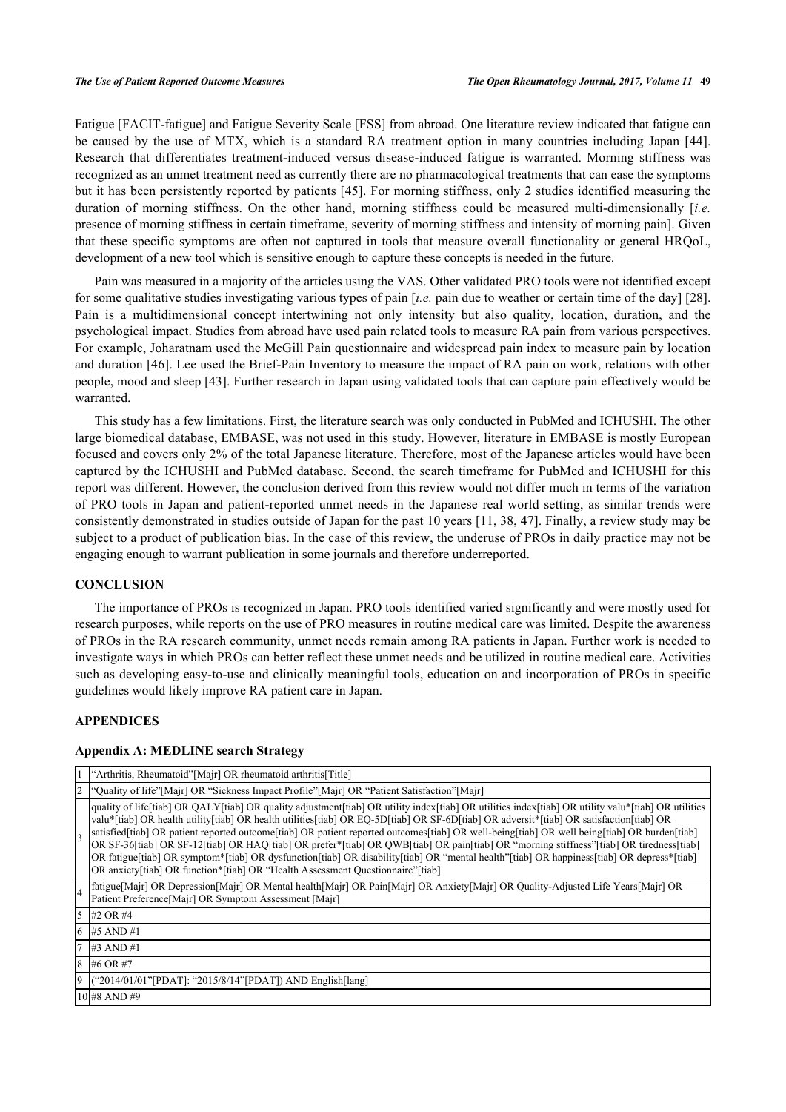Fatigue [FACIT-fatigue] and Fatigue Severity Scale [FSS] from abroad. One literature review indicated that fatigue can be caused by the use of MTX, which is a standard RA treatment option in many countries including Japan [\[44\]](#page-9-9). Research that differentiates treatment-induced versus disease-induced fatigue is warranted. Morning stiffness was recognized as an unmet treatment need as currently there are no pharmacological treatments that can ease the symptoms but it has been persistently reported by patients [\[45\]](#page-9-10). For morning stiffness, only 2 studies identified measuring the duration of morning stiffness. On the other hand, morning stiffness could be measured multi-dimensionally [*i.e.* presence of morning stiffness in certain timeframe, severity of morning stiffness and intensity of morning pain]. Given that these specific symptoms are often not captured in tools that measure overall functionality or general HRQoL, development of a new tool which is sensitive enough to capture these concepts is needed in the future.

Pain was measured in a majority of the articles using the VAS. Other validated PRO tools were not identified except for some qualitative studies investigating various types of pain [*i.e.* pain due to weather or certain time of the day] [[28\]](#page-8-17). Pain is a multidimensional concept intertwining not only intensity but also quality, location, duration, and the psychological impact. Studies from abroad have used pain related tools to measure RA pain from various perspectives. For example, Joharatnam used the McGill Pain questionnaire and widespread pain index to measure pain by location and duration [[46\]](#page-9-11). Lee used the Brief-Pain Inventory to measure the impact of RA pain on work, relations with other people, mood and sleep [\[43](#page-9-8)]. Further research in Japan using validated tools that can capture pain effectively would be warranted.

This study has a few limitations. First, the literature search was only conducted in PubMed and ICHUSHI. The other large biomedical database, EMBASE, was not used in this study. However, literature in EMBASE is mostly European focused and covers only 2% of the total Japanese literature. Therefore, most of the Japanese articles would have been captured by the ICHUSHI and PubMed database. Second, the search timeframe for PubMed and ICHUSHI for this report was different. However, the conclusion derived from this review would not differ much in terms of the variation of PRO tools in Japan and patient-reported unmet needs in the Japanese real world setting, as similar trends were consistently demonstrated in studies outside of Japan for the past 10 years [[11,](#page-8-4) [38](#page-9-7), [47\]](#page-9-12). Finally, a review study may be subject to a product of publication bias. In the case of this review, the underuse of PROs in daily practice may not be engaging enough to warrant publication in some journals and therefore underreported.

### **CONCLUSION**

The importance of PROs is recognized in Japan. PRO tools identified varied significantly and were mostly used for research purposes, while reports on the use of PRO measures in routine medical care was limited. Despite the awareness of PROs in the RA research community, unmet needs remain among RA patients in Japan. Further work is needed to investigate ways in which PROs can better reflect these unmet needs and be utilized in routine medical care. Activities such as developing easy-to-use and clinically meaningful tools, education on and incorporation of PROs in specific guidelines would likely improve RA patient care in Japan.

### **APPENDICES**

### **Appendix A: MEDLINE search Strategy**

|    | "Arthritis, Rheumatoid"[Majr] OR rheumatoid arthritis[Title]                                                                                                                                                                                                                                                                                                                                                                                                                                                                                                                                                                                                                                                                                                                                                            |
|----|-------------------------------------------------------------------------------------------------------------------------------------------------------------------------------------------------------------------------------------------------------------------------------------------------------------------------------------------------------------------------------------------------------------------------------------------------------------------------------------------------------------------------------------------------------------------------------------------------------------------------------------------------------------------------------------------------------------------------------------------------------------------------------------------------------------------------|
| 2  | "Quality of life"[Majr] OR "Sickness Impact Profile"[Majr] OR "Patient Satisfaction"[Majr]                                                                                                                                                                                                                                                                                                                                                                                                                                                                                                                                                                                                                                                                                                                              |
|    | quality of life[tiab] OR QALY[tiab] OR quality adjustment[tiab] OR utility index[tiab] OR utilities index[tiab] OR utility valu*[tiab] OR utilities<br>valu*[tiab] OR health utility[tiab] OR health utilities[tiab] OR EQ-5D[tiab] OR SF-6D[tiab] OR adversit*[tiab] OR satisfaction[tiab] OR<br>satisfied[tiab] OR patient reported outcome[tiab] OR patient reported outcomes[tiab] OR well-being[tiab] OR well being[tiab] OR burden[tiab]<br>OR SF-36[tiab] OR SF-12[tiab] OR HAQ[tiab] OR prefer*[tiab] OR QWB[tiab] OR pain[tiab] OR "morning stiffness"[tiab] OR tiredness[tiab]<br>OR fatigue[tiab] OR symptom*[tiab] OR dysfunction[tiab] OR disability[tiab] OR "mental health"[tiab] OR happiness[tiab] OR depress*[tiab]<br>OR anxiety[tiab] OR function*[tiab] OR "Health Assessment Questionnaire"[tiab] |
| 4  | fatigue[Majr] OR Depression[Majr] OR Mental health[Majr] OR Pain[Majr] OR Anxiety[Majr] OR Quality-Adjusted Life Years[Majr] OR<br>Patient Preference [Majr] OR Symptom Assessment [Majr]                                                                                                                                                                                                                                                                                                                                                                                                                                                                                                                                                                                                                               |
|    | $15$ #2 OR #4                                                                                                                                                                                                                                                                                                                                                                                                                                                                                                                                                                                                                                                                                                                                                                                                           |
| 16 | $\#5$ AND $\#1$                                                                                                                                                                                                                                                                                                                                                                                                                                                                                                                                                                                                                                                                                                                                                                                                         |
|    | $17 \#3$ AND #1                                                                                                                                                                                                                                                                                                                                                                                                                                                                                                                                                                                                                                                                                                                                                                                                         |
| 8  | #6 OR #7                                                                                                                                                                                                                                                                                                                                                                                                                                                                                                                                                                                                                                                                                                                                                                                                                |
| 19 | "2014/01/01"[PDAT]: "2015/8/14"[PDAT]) AND English[lang]                                                                                                                                                                                                                                                                                                                                                                                                                                                                                                                                                                                                                                                                                                                                                                |
|    | 10 #8 AND #9                                                                                                                                                                                                                                                                                                                                                                                                                                                                                                                                                                                                                                                                                                                                                                                                            |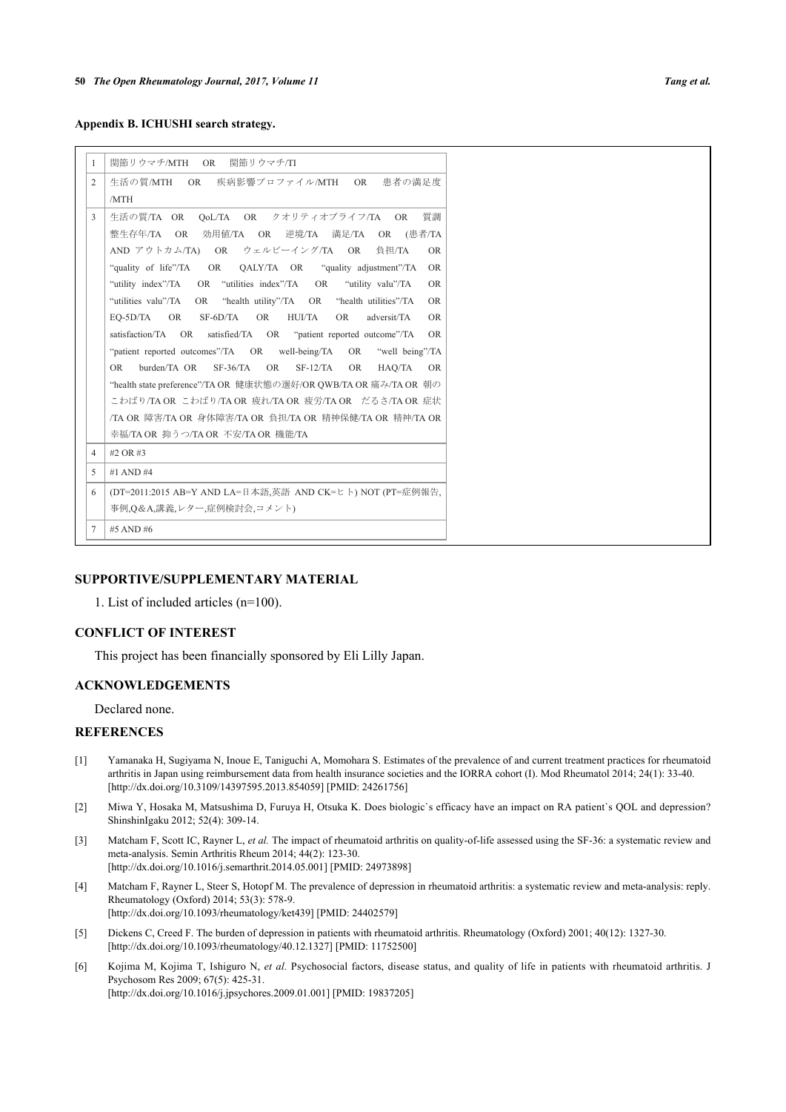**Appendix B. ICHUSHI search strategy.**

| -1             | 関節リウマチ/MTH OR<br>関節リウマチ/TI                                                                  |
|----------------|---------------------------------------------------------------------------------------------|
| $\overline{2}$ | 生活の質/MTH OR 疾病影響プロファイル/MTH OR<br>患者の満足度                                                     |
|                | /MTH                                                                                        |
| 3              | 暂調<br>OoL/TA OR クオリティオブライフ/TA OR<br>生活の質/TA OR                                              |
|                | 効用値/TA OR 逆境/TA 満足/TA<br>整生存年/TA OR<br>OR (患者/TA                                            |
|                | AND アウトカム/TA) OR ウェルビーイング/TA OR 負担/TA<br>OR.                                                |
|                | "quality of life"/TA<br>OALY/TA OR "quality adjustment"/TA<br>OR D<br>OR.                   |
|                | "utility index"/TA OR "utilities index"/TA OR<br>"utility valu"/TA<br><b>OR</b>             |
|                | "utilities valu"/TA<br>OR "health utility"/TA OR<br>"health utilities"/TA<br><b>OR</b>      |
|                | <b>HUI/TA</b><br>EO-5D/TA<br>OR<br>SF-6D/TA<br><b>OR</b><br><b>OR</b><br>adversit/TA<br>OR. |
|                | satisfaction/TA OR satisfied/TA OR "patient reported outcome"/TA<br><b>OR</b>               |
|                | "patient reported outcomes"/TA OR well-being/TA<br>"well being"/TA<br>OR                    |
|                | $SF-36/TA$<br>burden/TA OR<br><b>OR</b><br>$SF-12/TA$<br><b>OR</b><br>HAO/TA<br>OR.<br>OR.  |
|                | "health state preference"/TA OR 健康状態の選好/OR QWB/TA OR 痛み/TA OR 朝の                            |
|                | こわばり/TA OR こわばり/TA OR 疲れ/TA OR 疲労/TA OR だるさ/TA OR 症状                                        |
|                | /TA OR 障害/TA OR 身体障害/TA OR 負担/TA OR 精神保健/TA OR 精神/TA OR                                     |
|                | 幸福/TA OR 抑うつ/TA OR 不安/TA OR 機能/TA                                                           |
| $\overline{4}$ | #2 OR #3                                                                                    |
| 5              | #1 AND #4                                                                                   |
| 6              | (DT=2011:2015 AB=Y AND LA=日本語,英語 AND CK=ヒト) NOT (PT=症例報告,                                   |
|                | 事例,O&A,講義,レター,症例検討会,コメント)                                                                   |
| $\tau$         | #5 AND #6                                                                                   |

### **SUPPORTIVE/SUPPLEMENTARY MATERIAL**

1. List of included articles (n=100).

### **CONFLICT OF INTEREST**

This project has been financially sponsored by Eli Lilly Japan.

### **ACKNOWLEDGEMENTS**

Declared none.

### **REFERENCES**

- <span id="page-7-0"></span>[1] Yamanaka H, Sugiyama N, Inoue E, Taniguchi A, Momohara S. Estimates of the prevalence of and current treatment practices for rheumatoid arthritis in Japan using reimbursement data from health insurance societies and the IORRA cohort (I). Mod Rheumatol 2014; 24(1): 33-40. [\[http://dx.doi.org/10.3109/14397595.2013.854059\]](http://dx.doi.org/10.3109/14397595.2013.854059) [PMID: [24261756](http://www.ncbi.nlm.nih.gov/pubmed/24261756)]
- <span id="page-7-1"></span>[2] Miwa Y, Hosaka M, Matsushima D, Furuya H, Otsuka K. Does biologic`s efficacy have an impact on RA patient`s QOL and depression? ShinshinIgaku 2012; 52(4): 309-14.
- <span id="page-7-2"></span>[3] Matcham F, Scott IC, Rayner L, *et al.* The impact of rheumatoid arthritis on quality-of-life assessed using the SF-36: a systematic review and meta-analysis. Semin Arthritis Rheum 2014; 44(2): 123-30. [\[http://dx.doi.org/10.1016/j.semarthrit.2014.05.001](http://dx.doi.org/10.1016/j.semarthrit.2014.05.001)] [PMID: [24973898](http://www.ncbi.nlm.nih.gov/pubmed/24973898)]
- <span id="page-7-3"></span>[4] Matcham F, Rayner L, Steer S, Hotopf M. The prevalence of depression in rheumatoid arthritis: a systematic review and meta-analysis: reply. Rheumatology (Oxford) 2014; 53(3): 578-9. [\[http://dx.doi.org/10.1093/rheumatology/ket439](http://dx.doi.org/10.1093/rheumatology/ket439)] [PMID: [24402579\]](http://www.ncbi.nlm.nih.gov/pubmed/24402579)
- [5] Dickens C, Creed F. The burden of depression in patients with rheumatoid arthritis. Rheumatology (Oxford) 2001; 40(12): 1327-30. [\[http://dx.doi.org/10.1093/rheumatology/40.12.1327](http://dx.doi.org/10.1093/rheumatology/40.12.1327)] [PMID: [11752500](http://www.ncbi.nlm.nih.gov/pubmed/11752500)]
- <span id="page-7-4"></span>[6] Kojima M, Kojima T, Ishiguro N, *et al.* Psychosocial factors, disease status, and quality of life in patients with rheumatoid arthritis. J Psychosom Res 2009; 67(5): 425-31. [\[http://dx.doi.org/10.1016/j.jpsychores.2009.01.001](http://dx.doi.org/10.1016/j.jpsychores.2009.01.001)] [PMID: [19837205\]](http://www.ncbi.nlm.nih.gov/pubmed/19837205)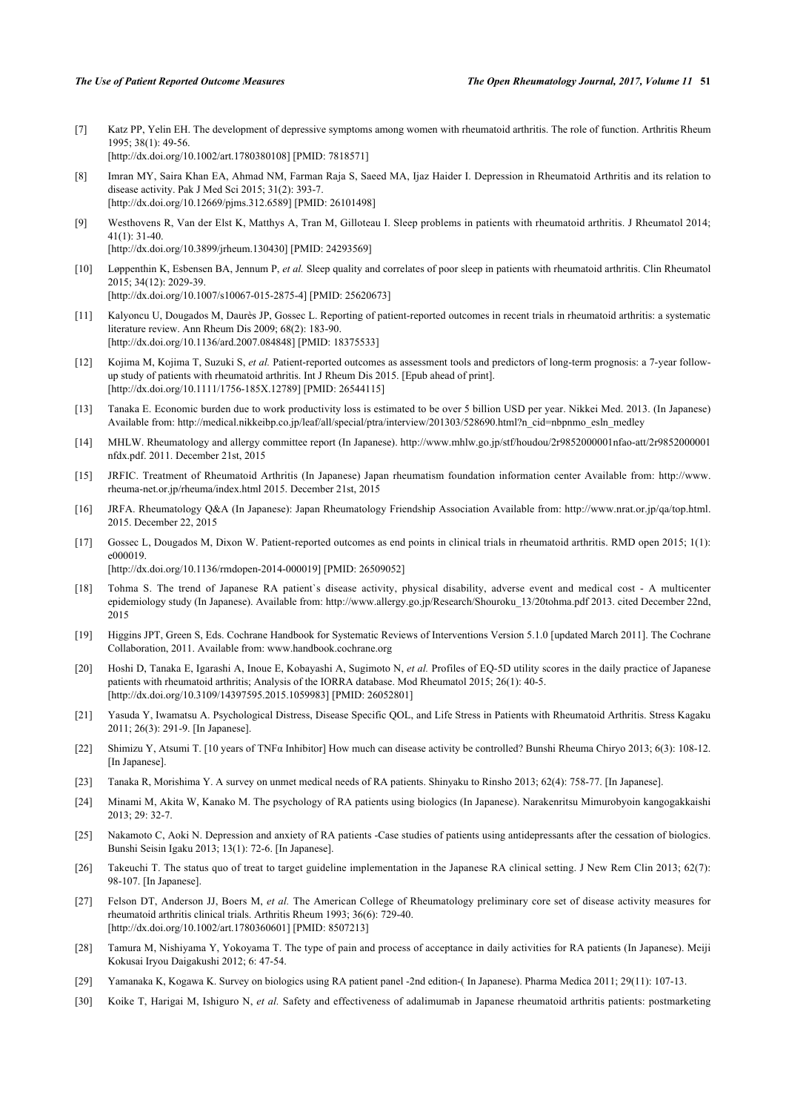- <span id="page-8-0"></span>[7] Katz PP, Yelin EH. The development of depressive symptoms among women with rheumatoid arthritis. The role of function. Arthritis Rheum 1995; 38(1): 49-56. [\[http://dx.doi.org/10.1002/art.1780380108](http://dx.doi.org/10.1002/art.1780380108)] [PMID: [7818571\]](http://www.ncbi.nlm.nih.gov/pubmed/7818571)
- <span id="page-8-1"></span>[8] Imran MY, Saira Khan EA, Ahmad NM, Farman Raja S, Saeed MA, Ijaz Haider I. Depression in Rheumatoid Arthritis and its relation to disease activity. Pak J Med Sci 2015; 31(2): 393-7. [\[http://dx.doi.org/10.12669/pjms.312.6589](http://dx.doi.org/10.12669/pjms.312.6589)] [PMID: [26101498\]](http://www.ncbi.nlm.nih.gov/pubmed/26101498)
- <span id="page-8-2"></span>[9] Westhovens R, Van der Elst K, Matthys A, Tran M, Gilloteau I. Sleep problems in patients with rheumatoid arthritis. J Rheumatol 2014; 41(1): 31-40. [\[http://dx.doi.org/10.3899/jrheum.130430](http://dx.doi.org/10.3899/jrheum.130430)] [PMID: [24293569](http://www.ncbi.nlm.nih.gov/pubmed/24293569)]
- <span id="page-8-3"></span>[10] Løppenthin K, Esbensen BA, Jennum P, *et al.* Sleep quality and correlates of poor sleep in patients with rheumatoid arthritis. Clin Rheumatol 2015; 34(12): 2029-39. [\[http://dx.doi.org/10.1007/s10067-015-2875-4\]](http://dx.doi.org/10.1007/s10067-015-2875-4) [PMID: [25620673](http://www.ncbi.nlm.nih.gov/pubmed/25620673)]
- <span id="page-8-4"></span>[11] Kalyoncu U, Dougados M, Daurès JP, Gossec L. Reporting of patient-reported outcomes in recent trials in rheumatoid arthritis: a systematic literature review. Ann Rheum Dis 2009; 68(2): 183-90. [\[http://dx.doi.org/10.1136/ard.2007.084848](http://dx.doi.org/10.1136/ard.2007.084848)] [PMID: [18375533\]](http://www.ncbi.nlm.nih.gov/pubmed/18375533)
- <span id="page-8-5"></span>[12] Kojima M, Kojima T, Suzuki S, *et al.* Patient-reported outcomes as assessment tools and predictors of long-term prognosis: a 7-year followup study of patients with rheumatoid arthritis. Int J Rheum Dis 2015. [Epub ahead of print]. [\[http://dx.doi.org/10.1111/1756-185X.12789](http://dx.doi.org/10.1111/1756-185X.12789)] [PMID: [26544115\]](http://www.ncbi.nlm.nih.gov/pubmed/26544115)
- <span id="page-8-6"></span>[13] Tanaka E. Economic burden due to work productivity loss is estimated to be over 5 billion USD per year. Nikkei Med. 2013. (In Japanese) Available from: [http://medical.nikkeibp.co.jp/leaf/all/special/ptra/interview/201303/528690.html?n\\_cid=nbpnmo\\_esln\\_medley](http://medical.nikkeibp.co.jp/leaf/all/special/ptra/interview/201303/528690.html?n_cid=nbpnmo_esln_medley)
- <span id="page-8-7"></span>[14] MHLW. Rheumatology and allergy committee report (In Japanese). [http://www.mhlw.go.jp/stf/houdou/2r9852000001nfao-att/2r9852000001](http://www.mhlw.go.jp/stf/houdou/2r9852000001nfao-att/2r9852000001nfdx.pdf) [nfdx.pdf](http://www.mhlw.go.jp/stf/houdou/2r9852000001nfao-att/2r9852000001nfdx.pdf). 2011. December 21st, 2015
- <span id="page-8-8"></span>[15] JRFIC. Treatment of Rheumatoid Arthritis (In Japanese) Japan rheumatism foundation information center Available from: [http://www.](http://www.rheuma-net.or.jp/rheuma/index.html) [rheuma-net.or.jp/rheuma/index.html](http://www.rheuma-net.or.jp/rheuma/index.html) 2015. December 21st, 2015
- <span id="page-8-9"></span>[16] JRFA. Rheumatology Q&A (In Japanese): Japan Rheumatology Friendship Association Available from: [http://www.nrat.or.jp/qa/top.html.](http://www.nrat.or.jp/qa/top.html) 2015. December 22, 2015
- <span id="page-8-10"></span>[17] Gossec L, Dougados M, Dixon W. Patient-reported outcomes as end points in clinical trials in rheumatoid arthritis. RMD open 2015; 1(1): e000019.

[\[http://dx.doi.org/10.1136/rmdopen-2014-000019\]](http://dx.doi.org/10.1136/rmdopen-2014-000019) [PMID: [26509052](http://www.ncbi.nlm.nih.gov/pubmed/26509052)]

- <span id="page-8-11"></span>[18] Tohma S. The trend of Japanese RA patient`s disease activity, physical disability, adverse event and medical cost - A multicenter epidemiology study (In Japanese). Available from: [http://www.allergy.go.jp/Research/Shouroku\\_13/20tohma.pdf](http://www.allergy.go.jp/Research/Shouroku_13/20tohma.pdf) 2013. cited December 22nd, 2015
- <span id="page-8-12"></span>[19] Higgins JPT, Green S, Eds. Cochrane Handbook for Systematic Reviews of Interventions Version 5.1.0 [updated March 2011]. The Cochrane Collaboration, 2011. Available from: [www.handbook.cochrane.org](http://www.handbook.cochrane.org)
- <span id="page-8-13"></span>[20] Hoshi D, Tanaka E, Igarashi A, Inoue E, Kobayashi A, Sugimoto N, *et al.* Profiles of EQ-5D utility scores in the daily practice of Japanese patients with rheumatoid arthritis; Analysis of the IORRA database. Mod Rheumatol 2015; 26(1): 40-5. [\[http://dx.doi.org/10.3109/14397595.2015.1059983\]](http://dx.doi.org/10.3109/14397595.2015.1059983) [PMID: [26052801](http://www.ncbi.nlm.nih.gov/pubmed/26052801)]
- [21] Yasuda Y, Iwamatsu A. Psychological Distress, Disease Specific QOL, and Life Stress in Patients with Rheumatoid Arthritis. Stress Kagaku 2011; 26(3): 291-9. [In Japanese].
- <span id="page-8-20"></span>[22] Shimizu Y, Atsumi T. [10 years of TNFα Inhibitor] How much can disease activity be controlled? Bunshi Rheuma Chiryo 2013; 6(3): 108-12. [In Japanese].
- [23] Tanaka R, Morishima Y. A survey on unmet medical needs of RA patients. Shinyaku to Rinsho 2013; 62(4): 758-77. [In Japanese].
- <span id="page-8-21"></span>[24] Minami M, Akita W, Kanako M. The psychology of RA patients using biologics (In Japanese). Narakenritsu Mimurobyoin kangogakkaishi 2013; 29: 32-7.
- <span id="page-8-14"></span>[25] Nakamoto C, Aoki N. Depression and anxiety of RA patients -Case studies of patients using antidepressants after the cessation of biologics. Bunshi Seisin Igaku 2013; 13(1): 72-6. [In Japanese].
- <span id="page-8-15"></span>[26] Takeuchi T. The status quo of treat to target guideline implementation in the Japanese RA clinical setting. J New Rem Clin 2013; 62(7): 98-107. [In Japanese].
- <span id="page-8-16"></span>[27] Felson DT, Anderson JJ, Boers M, *et al.* The American College of Rheumatology preliminary core set of disease activity measures for rheumatoid arthritis clinical trials. Arthritis Rheum 1993; 36(6): 729-40. [\[http://dx.doi.org/10.1002/art.1780360601](http://dx.doi.org/10.1002/art.1780360601)] [PMID: [8507213\]](http://www.ncbi.nlm.nih.gov/pubmed/8507213)
- <span id="page-8-17"></span>[28] Tamura M, Nishiyama Y, Yokoyama T. The type of pain and process of acceptance in daily activities for RA patients (In Japanese). Meiji Kokusai Iryou Daigakushi 2012; 6: 47-54.
- <span id="page-8-18"></span>[29] Yamanaka K, Kogawa K. Survey on biologics using RA patient panel -2nd edition-( In Japanese). Pharma Medica 2011; 29(11): 107-13.
- <span id="page-8-19"></span>[30] Koike T, Harigai M, Ishiguro N, *et al.* Safety and effectiveness of adalimumab in Japanese rheumatoid arthritis patients: postmarketing